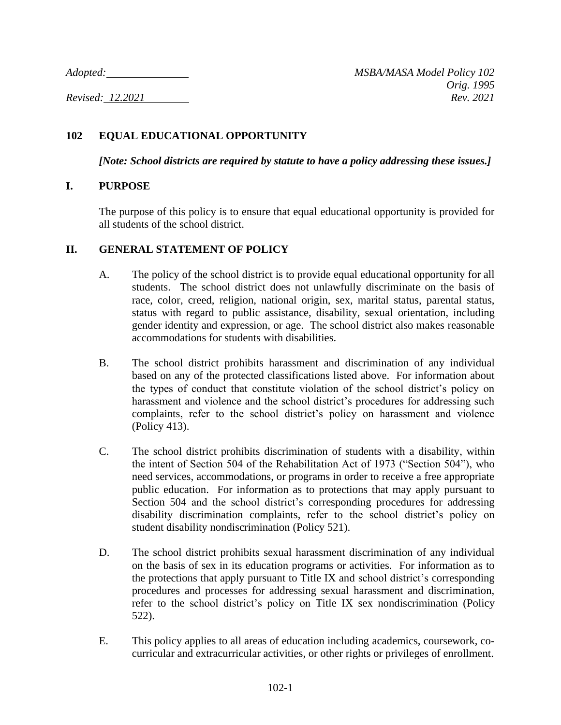## **102 EQUAL EDUCATIONAL OPPORTUNITY**

*[Note: School districts are required by statute to have a policy addressing these issues.]*

## **I. PURPOSE**

The purpose of this policy is to ensure that equal educational opportunity is provided for all students of the school district.

## **II. GENERAL STATEMENT OF POLICY**

- A. The policy of the school district is to provide equal educational opportunity for all students. The school district does not unlawfully discriminate on the basis of race, color, creed, religion, national origin, sex, marital status, parental status, status with regard to public assistance, disability, sexual orientation, including gender identity and expression, or age. The school district also makes reasonable accommodations for students with disabilities.
- B. The school district prohibits harassment and discrimination of any individual based on any of the protected classifications listed above. For information about the types of conduct that constitute violation of the school district's policy on harassment and violence and the school district's procedures for addressing such complaints, refer to the school district's policy on harassment and violence (Policy 413).
- C. The school district prohibits discrimination of students with a disability, within the intent of Section 504 of the Rehabilitation Act of 1973 ("Section 504"), who need services, accommodations, or programs in order to receive a free appropriate public education. For information as to protections that may apply pursuant to Section 504 and the school district's corresponding procedures for addressing disability discrimination complaints, refer to the school district's policy on student disability nondiscrimination (Policy 521).
- D. The school district prohibits sexual harassment discrimination of any individual on the basis of sex in its education programs or activities. For information as to the protections that apply pursuant to Title IX and school district's corresponding procedures and processes for addressing sexual harassment and discrimination, refer to the school district's policy on Title IX sex nondiscrimination (Policy 522).
- E. This policy applies to all areas of education including academics, coursework, cocurricular and extracurricular activities, or other rights or privileges of enrollment.